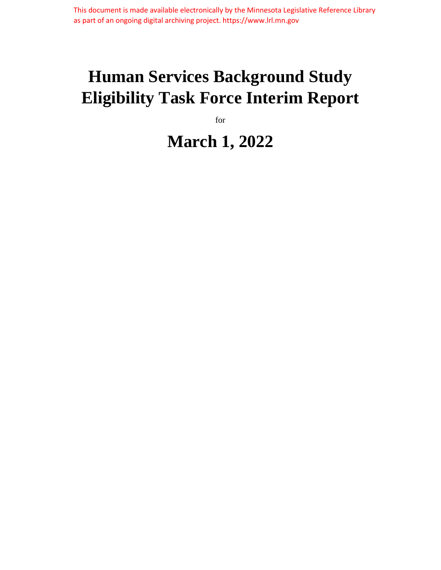This document is made available electronically by the Minnesota Legislative Reference Library as part of an ongoing digital archiving project. https://www.lrl.mn.gov

# **Human Services Background Study Eligibility Task Force Interim Report**

for

**March 1, 2022**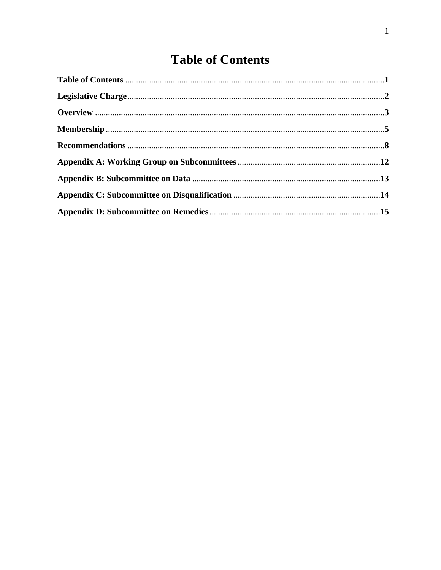# **Table of Contents**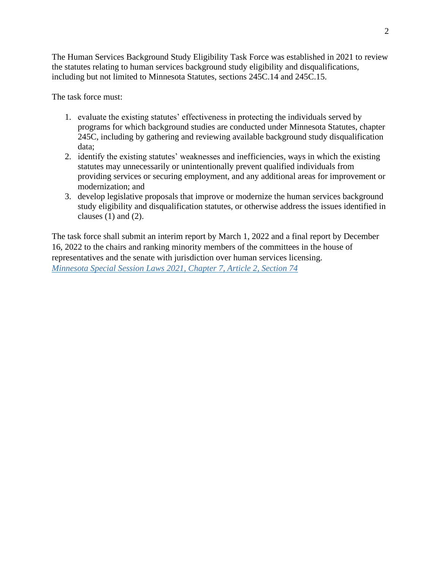The Human Services Background Study Eligibility Task Force was established in 2021 to review the statutes relating to human services background study eligibility and disqualifications, including but not limited to Minnesota Statutes, sections 245C.14 and 245C.15.

The task force must:

- 1. evaluate the existing statutes' effectiveness in protecting the individuals served by programs for which background studies are conducted under Minnesota Statutes, chapter 245C, including by gathering and reviewing available background study disqualification data;
- 2. identify the existing statutes' weaknesses and inefficiencies, ways in which the existing statutes may unnecessarily or unintentionally prevent qualified individuals from providing services or securing employment, and any additional areas for improvement or modernization; and
- 3. develop legislative proposals that improve or modernize the human services background study eligibility and disqualification statutes, or otherwise address the issues identified in clauses  $(1)$  and  $(2)$ .

The task force shall submit an interim report by March 1, 2022 and a final report by December 16, 2022 to the chairs and ranking minority members of the committees in the house of representatives and the senate with jurisdiction over human services licensing. *[Minnesota Special Session Laws 2021, Chapter 7, Article 2, Section 74](https://www.revisor.mn.gov/laws/2021/1/Session+Law/Chapter/7/)*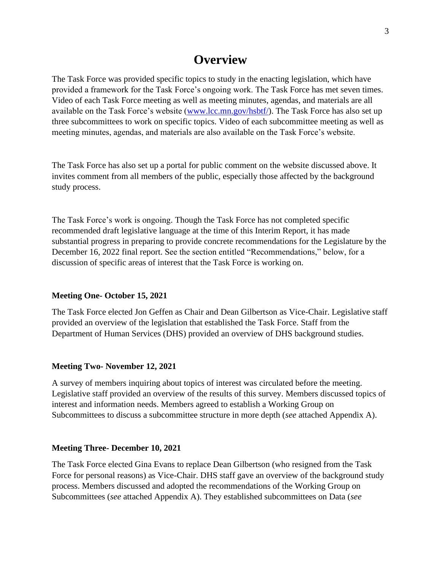# **Overview**

The Task Force was provided specific topics to study in the enacting legislation, which have provided a framework for the Task Force's ongoing work. The Task Force has met seven times. Video of each Task Force meeting as well as meeting minutes, agendas, and materials are all available on the Task Force's website [\(www.lcc.mn.gov/hsbtf/\)](http://www.lcc.mn.gov/hsbtf/). The Task Force has also set up three subcommittees to work on specific topics. Video of each subcommittee meeting as well as meeting minutes, agendas, and materials are also available on the Task Force's website.

The Task Force has also set up a portal for public comment on the website discussed above. It invites comment from all members of the public, especially those affected by the background study process.

The Task Force's work is ongoing. Though the Task Force has not completed specific recommended draft legislative language at the time of this Interim Report, it has made substantial progress in preparing to provide concrete recommendations for the Legislature by the December 16, 2022 final report. See the section entitled "Recommendations," below, for a discussion of specific areas of interest that the Task Force is working on.

#### **Meeting One- October 15, 2021**

The Task Force elected Jon Geffen as Chair and Dean Gilbertson as Vice-Chair. Legislative staff provided an overview of the legislation that established the Task Force. Staff from the Department of Human Services (DHS) provided an overview of DHS background studies.

#### **Meeting Two- November 12, 2021**

A survey of members inquiring about topics of interest was circulated before the meeting. Legislative staff provided an overview of the results of this survey. Members discussed topics of interest and information needs. Members agreed to establish a Working Group on Subcommittees to discuss a subcommittee structure in more depth (*see* attached Appendix A).

#### **Meeting Three- December 10, 2021**

The Task Force elected Gina Evans to replace Dean Gilbertson (who resigned from the Task Force for personal reasons) as Vice-Chair. DHS staff gave an overview of the background study process. Members discussed and adopted the recommendations of the Working Group on Subcommittees (*see* attached Appendix A). They established subcommittees on Data (*see*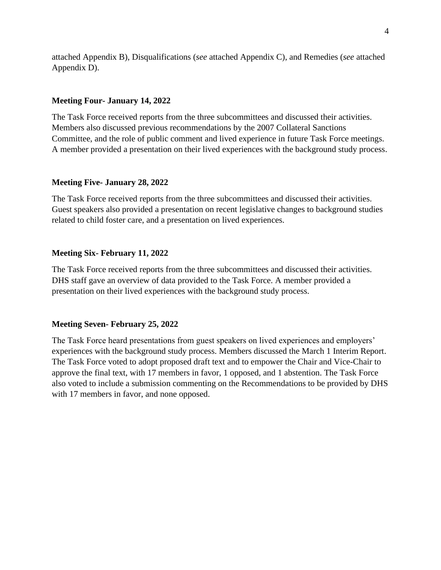attached Appendix B), Disqualifications (*see* attached Appendix C), and Remedies (*see* attached Appendix D).

### **Meeting Four- January 14, 2022**

The Task Force received reports from the three subcommittees and discussed their activities. Members also discussed previous recommendations by the 2007 Collateral Sanctions Committee, and the role of public comment and lived experience in future Task Force meetings. A member provided a presentation on their lived experiences with the background study process.

#### **Meeting Five- January 28, 2022**

The Task Force received reports from the three subcommittees and discussed their activities. Guest speakers also provided a presentation on recent legislative changes to background studies related to child foster care, and a presentation on lived experiences.

#### **Meeting Six- February 11, 2022**

The Task Force received reports from the three subcommittees and discussed their activities. DHS staff gave an overview of data provided to the Task Force. A member provided a presentation on their lived experiences with the background study process.

### **Meeting Seven- February 25, 2022**

The Task Force heard presentations from guest speakers on lived experiences and employers' experiences with the background study process. Members discussed the March 1 Interim Report. The Task Force voted to adopt proposed draft text and to empower the Chair and Vice-Chair to approve the final text, with 17 members in favor, 1 opposed, and 1 abstention. The Task Force also voted to include a submission commenting on the Recommendations to be provided by DHS with 17 members in favor, and none opposed.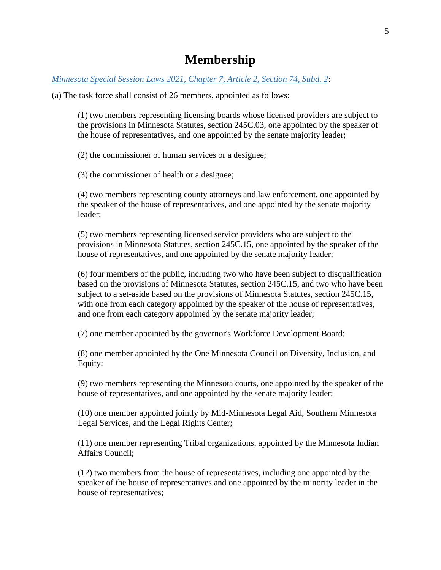# **Membership**

*[Minnesota Special Session Laws 2021, Chapter 7, Article 2, Section 74, Subd. 2](https://www.revisor.mn.gov/laws/2021/1/Session+Law/Chapter/7/)*:

(a) The task force shall consist of 26 members, appointed as follows:

(1) two members representing licensing boards whose licensed providers are subject to the provisions in Minnesota Statutes, section 245C.03, one appointed by the speaker of the house of representatives, and one appointed by the senate majority leader;

(2) the commissioner of human services or a designee;

(3) the commissioner of health or a designee;

(4) two members representing county attorneys and law enforcement, one appointed by the speaker of the house of representatives, and one appointed by the senate majority leader;

(5) two members representing licensed service providers who are subject to the provisions in Minnesota Statutes, section 245C.15, one appointed by the speaker of the house of representatives, and one appointed by the senate majority leader;

(6) four members of the public, including two who have been subject to disqualification based on the provisions of Minnesota Statutes, section 245C.15, and two who have been subject to a set-aside based on the provisions of Minnesota Statutes, section 245C.15, with one from each category appointed by the speaker of the house of representatives, and one from each category appointed by the senate majority leader;

(7) one member appointed by the governor's Workforce Development Board;

(8) one member appointed by the One Minnesota Council on Diversity, Inclusion, and Equity;

(9) two members representing the Minnesota courts, one appointed by the speaker of the house of representatives, and one appointed by the senate majority leader;

(10) one member appointed jointly by Mid-Minnesota Legal Aid, Southern Minnesota Legal Services, and the Legal Rights Center;

(11) one member representing Tribal organizations, appointed by the Minnesota Indian Affairs Council;

(12) two members from the house of representatives, including one appointed by the speaker of the house of representatives and one appointed by the minority leader in the house of representatives;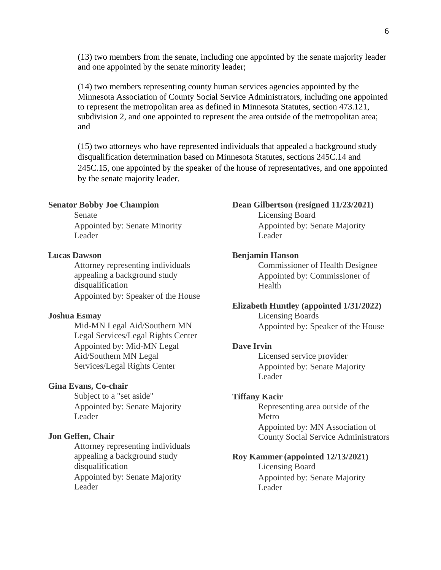(13) two members from the senate, including one appointed by the senate majority leader and one appointed by the senate minority leader;

(14) two members representing county human services agencies appointed by the Minnesota Association of County Social Service Administrators, including one appointed to represent the metropolitan area as defined in Minnesota Statutes, section 473.121, subdivision 2, and one appointed to represent the area outside of the metropolitan area; and

(15) two attorneys who have represented individuals that appealed a background study disqualification determination based on Minnesota Statutes, sections 245C.14 and 245C.15, one appointed by the speaker of the house of representatives, and one appointed by the senate majority leader.

#### **Senator Bobby Joe Champion**

Senate Appointed by: Senate Minority Leader

#### **Lucas Dawson**

Attorney representing individuals appealing a background study disqualification Appointed by: Speaker of the House

#### **Joshua Esmay**

Mid-MN Legal Aid/Southern MN Legal Services/Legal Rights Center Appointed by: Mid-MN Legal Aid/Southern MN Legal Services/Legal Rights Center

#### **Gina Evans, Co-chair**

Subject to a "set aside" Appointed by: Senate Majority Leader

#### **Jon Geffen, Chair**

Attorney representing individuals appealing a background study disqualification Appointed by: Senate Majority Leader

#### **Dean Gilbertson (resigned 11/23/2021)**

Licensing Board Appointed by: Senate Majority Leader

#### **Benjamin Hanson**

Commissioner of Health Designee Appointed by: Commissioner of Health

#### **Elizabeth Huntley (appointed 1/31/2022)**  Licensing Boards

Appointed by: Speaker of the House

#### **Dave Irvin**

Licensed service provider Appointed by: Senate Majority Leader

#### **Tiffany Kacir**

Representing area outside of the Metro Appointed by: MN Association of County Social Service Administrators

#### **Roy Kammer (appointed 12/13/2021)**

Licensing Board Appointed by: Senate Majority Leader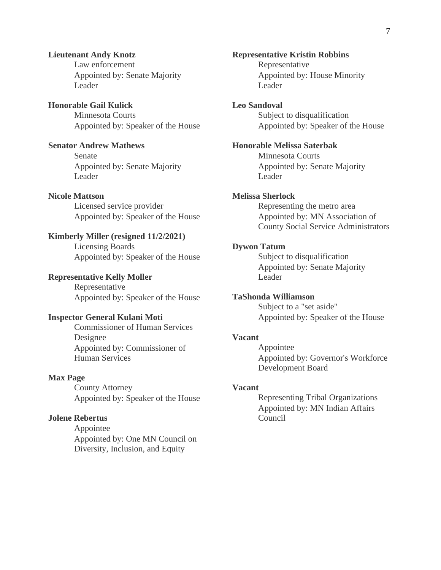#### **Lieutenant Andy Knotz**

Law enforcement Appointed by: Senate Majority Leader

**Honorable Gail Kulick**  Minnesota Courts Appointed by: Speaker of the House

# **Senator Andrew Mathews**

Senate Appointed by: Senate Majority Leader

#### **Nicole Mattson**

Licensed service provider Appointed by: Speaker of the House

## **Kimberly Miller (resigned 11/2/2021)**

Licensing Boards Appointed by: Speaker of the House

#### **Representative Kelly Moller**

Representative Appointed by: Speaker of the House

#### **Inspector General Kulani Moti**

Commissioner of Human Services Designee Appointed by: Commissioner of Human Services

#### **Max Page**

County Attorney Appointed by: Speaker of the House

#### **Jolene Rebertus**

Appointee Appointed by: One MN Council on Diversity, Inclusion, and Equity

#### **Representative Kristin Robbins**

 Representative Appointed by: House Minority Leader

**Leo Sandoval**  Subject to disqualification Appointed by: Speaker of the House

#### **Honorable Melissa Saterbak**

Minnesota Courts Appointed by: Senate Majority Leader

#### **Melissa Sherlock**

Representing the metro area Appointed by: MN Association of County Social Service Administrators

#### **Dywon Tatum**

Subject to disqualification Appointed by: Senate Majority Leader

#### **TaShonda Williamson**

Subject to a "set aside" Appointed by: Speaker of the House

#### **Vacant**

Appointee Appointed by: Governor's Workforce Development Board

#### **Vacant**

Representing Tribal Organizations Appointed by: MN Indian Affairs Council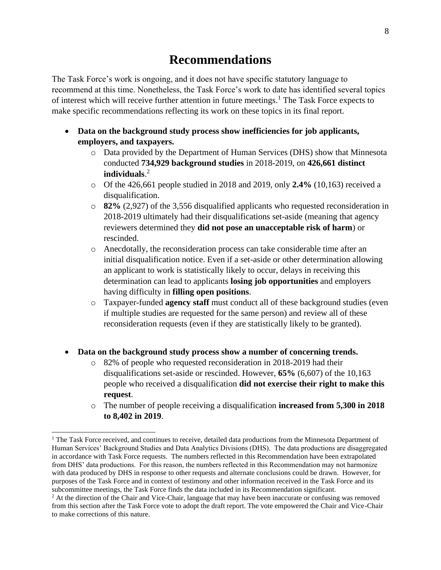# **Recommendations**

The Task Force's work is ongoing, and it does not have specific statutory language to recommend at this time. Nonetheless, the Task Force's work to date has identified several topics of interest which will receive further attention in future meetings.<sup>1</sup> The Task Force expects to make specific recommendations reflecting its work on these topics in its final report.

- **Data on the background study process show inefficiencies for job applicants, employers, and taxpayers.**
	- o Data provided by the Department of Human Services (DHS) show that Minnesota conducted **734,929 background studies** in 2018-2019, on **426,661 distinct individuals**. 2
	- o Of the 426,661 people studied in 2018 and 2019, only **2.4%** (10,163) received a disqualification.
	- o **82%** (2,927) of the 3,556 disqualified applicants who requested reconsideration in 2018-2019 ultimately had their disqualifications set-aside (meaning that agency reviewers determined they **did not pose an unacceptable risk of harm**) or rescinded.
	- o Anecdotally, the reconsideration process can take considerable time after an initial disqualification notice. Even if a set-aside or other determination allowing an applicant to work is statistically likely to occur, delays in receiving this determination can lead to applicants **losing job opportunities** and employers having difficulty in **filling open positions**.
	- o Taxpayer-funded **agency staff** must conduct all of these background studies (even if multiple studies are requested for the same person) and review all of these reconsideration requests (even if they are statistically likely to be granted).

### • **Data on the background study process show a number of concerning trends.**

- o 82% of people who requested reconsideration in 2018-2019 had their disqualifications set-aside or rescinded. However, **65%** (6,607) of the 10,163 people who received a disqualification **did not exercise their right to make this request**.
- o The number of people receiving a disqualification **increased from 5,300 in 2018 to 8,402 in 2019**.

<sup>&</sup>lt;sup>1</sup> The Task Force received, and continues to receive, detailed data productions from the Minnesota Department of Human Services' Background Studies and Data Analytics Divisions (DHS). The data productions are disaggregated in accordance with Task Force requests. The numbers reflected in this Recommendation have been extrapolated from DHS' data productions. For this reason, the numbers reflected in this Recommendation may not harmonize with data produced by DHS in response to other requests and alternate conclusions could be drawn. However, for purposes of the Task Force and in context of testimony and other information received in the Task Force and its subcommittee meetings, the Task Force finds the data included in its Recommendation significant.

<sup>&</sup>lt;sup>2</sup> At the direction of the Chair and Vice-Chair, language that may have been inaccurate or confusing was removed from this section after the Task Force vote to adopt the draft report. The vote empowered the Chair and Vice-Chair to make corrections of this nature.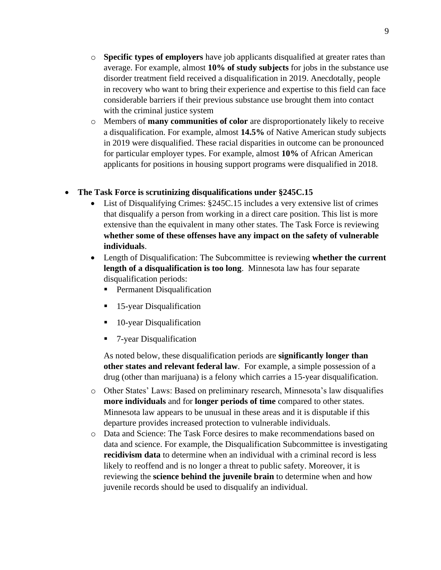- o **Specific types of employers** have job applicants disqualified at greater rates than average. For example, almost **10% of study subjects** for jobs in the substance use disorder treatment field received a disqualification in 2019. Anecdotally, people in recovery who want to bring their experience and expertise to this field can face considerable barriers if their previous substance use brought them into contact with the criminal justice system
- o Members of **many communities of color** are disproportionately likely to receive a disqualification. For example, almost **14.5%** of Native American study subjects in 2019 were disqualified. These racial disparities in outcome can be pronounced for particular employer types. For example, almost **10%** of African American applicants for positions in housing support programs were disqualified in 2018.

# • **The Task Force is scrutinizing disqualifications under §245C.15**

- List of Disqualifying Crimes:  $\S 245C.15$  includes a very extensive list of crimes that disqualify a person from working in a direct care position. This list is more extensive than the equivalent in many other states. The Task Force is reviewing **whether some of these offenses have any impact on the safety of vulnerable individuals**.
- Length of Disqualification: The Subcommittee is reviewing **whether the current length of a disqualification is too long**. Minnesota law has four separate disqualification periods:
	- **•** Permanent Disqualification
	- 15-year Disqualification
	- 10-year Disqualification
	- 7-year Disqualification

As noted below, these disqualification periods are **significantly longer than other states and relevant federal law**. For example, a simple possession of a drug (other than marijuana) is a felony which carries a 15-year disqualification.

- o Other States' Laws: Based on preliminary research, Minnesota's law disqualifies **more individuals** and for **longer periods of time** compared to other states. Minnesota law appears to be unusual in these areas and it is disputable if this departure provides increased protection to vulnerable individuals.
- o Data and Science: The Task Force desires to make recommendations based on data and science. For example, the Disqualification Subcommittee is investigating **recidivism data** to determine when an individual with a criminal record is less likely to reoffend and is no longer a threat to public safety. Moreover, it is reviewing the **science behind the juvenile brain** to determine when and how juvenile records should be used to disqualify an individual.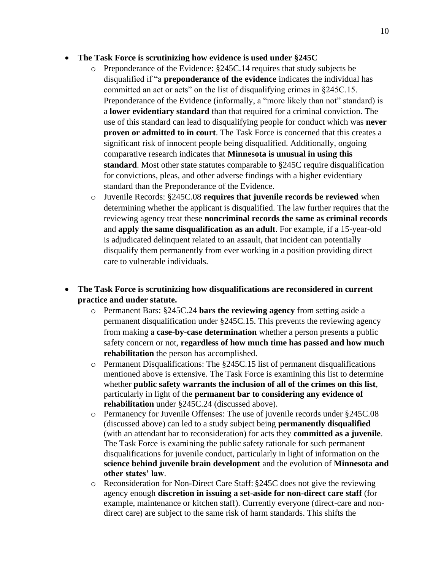#### • **The Task Force is scrutinizing how evidence is used under §245C**

- o Preponderance of the Evidence: §245C.14 requires that study subjects be disqualified if "a **preponderance of the evidence** indicates the individual has committed an act or acts" on the list of disqualifying crimes in §245C.15. Preponderance of the Evidence (informally, a "more likely than not" standard) is a **lower evidentiary standard** than that required for a criminal conviction. The use of this standard can lead to disqualifying people for conduct which was **never proven or admitted to in court**. The Task Force is concerned that this creates a significant risk of innocent people being disqualified. Additionally, ongoing comparative research indicates that **Minnesota is unusual in using this standard**. Most other state statutes comparable to §245C require disqualification for convictions, pleas, and other adverse findings with a higher evidentiary standard than the Preponderance of the Evidence.
- o Juvenile Records: §245C.08 **requires that juvenile records be reviewed** when determining whether the applicant is disqualified. The law further requires that the reviewing agency treat these **noncriminal records the same as criminal records** and **apply the same disqualification as an adult**. For example, if a 15-year-old is adjudicated delinquent related to an assault, that incident can potentially disqualify them permanently from ever working in a position providing direct care to vulnerable individuals.

### • **The Task Force is scrutinizing how disqualifications are reconsidered in current practice and under statute.**

- o Permanent Bars: §245C.24 **bars the reviewing agency** from setting aside a permanent disqualification under §245C.15. This prevents the reviewing agency from making a **case-by-case determination** whether a person presents a public safety concern or not, **regardless of how much time has passed and how much rehabilitation** the person has accomplished.
- o Permanent Disqualifications: The §245C.15 list of permanent disqualifications mentioned above is extensive. The Task Force is examining this list to determine whether **public safety warrants the inclusion of all of the crimes on this list**, particularly in light of the **permanent bar to considering any evidence of rehabilitation** under §245C.24 (discussed above).
- o Permanency for Juvenile Offenses: The use of juvenile records under §245C.08 (discussed above) can led to a study subject being **permanently disqualified** (with an attendant bar to reconsideration) for acts they **committed as a juvenile**. The Task Force is examining the public safety rationale for such permanent disqualifications for juvenile conduct, particularly in light of information on the **science behind juvenile brain development** and the evolution of **Minnesota and other states' law**.
- o Reconsideration for Non-Direct Care Staff: §245C does not give the reviewing agency enough **discretion in issuing a set-aside for non-direct care staff** (for example, maintenance or kitchen staff). Currently everyone (direct-care and nondirect care) are subject to the same risk of harm standards. This shifts the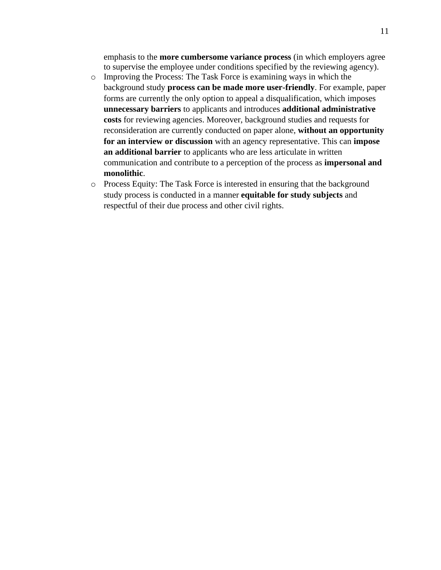emphasis to the **more cumbersome variance process** (in which employers agree to supervise the employee under conditions specified by the reviewing agency).

- o Improving the Process: The Task Force is examining ways in which the background study **process can be made more user-friendly**. For example, paper forms are currently the only option to appeal a disqualification, which imposes **unnecessary barriers** to applicants and introduces **additional administrative costs** for reviewing agencies. Moreover, background studies and requests for reconsideration are currently conducted on paper alone, **without an opportunity for an interview or discussion** with an agency representative. This can **impose an additional barrier** to applicants who are less articulate in written communication and contribute to a perception of the process as **impersonal and monolithic**.
- o Process Equity: The Task Force is interested in ensuring that the background study process is conducted in a manner **equitable for study subjects** and respectful of their due process and other civil rights.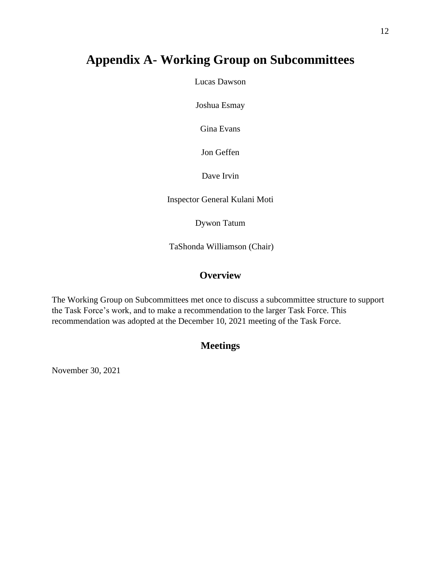# **Appendix A- Working Group on Subcommittees**

Lucas Dawson

Joshua Esmay

Gina Evans

Jon Geffen

Dave Irvin

Inspector General Kulani Moti

Dywon Tatum

TaShonda Williamson (Chair)

# **Overview**

The Working Group on Subcommittees met once to discuss a subcommittee structure to support the Task Force's work, and to make a recommendation to the larger Task Force. This recommendation was adopted at the December 10, 2021 meeting of the Task Force.

# **Meetings**

November 30, 2021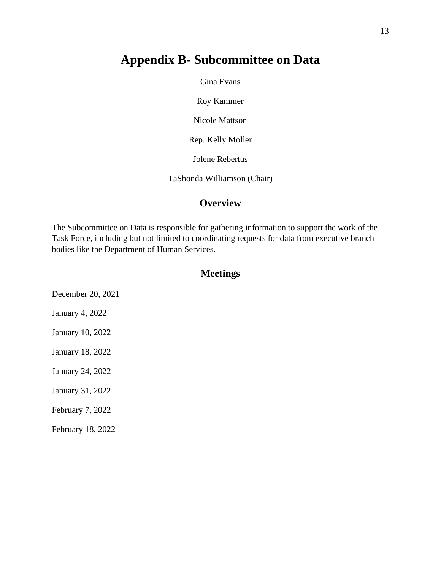# **Appendix B- Subcommittee on Data**

Gina Evans

Roy Kammer

Nicole Mattson

Rep. Kelly Moller

Jolene Rebertus

TaShonda Williamson (Chair)

# **Overview**

The Subcommittee on Data is responsible for gathering information to support the work of the Task Force, including but not limited to coordinating requests for data from executive branch bodies like the Department of Human Services.

# **Meetings**

- December 20, 2021
- January 4, 2022
- January 10, 2022
- January 18, 2022
- January 24, 2022
- January 31, 2022
- February 7, 2022
- February 18, 2022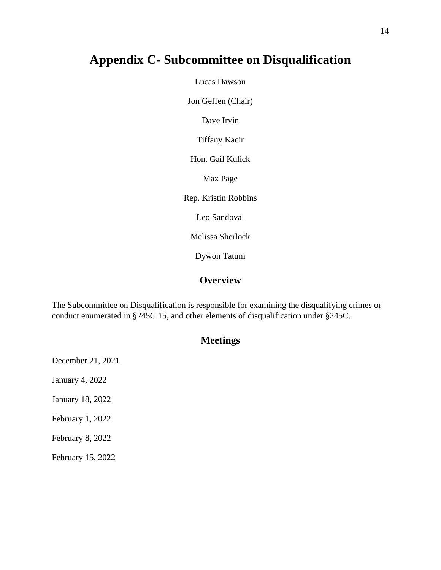# **Appendix C- Subcommittee on Disqualification**

Lucas Dawson Jon Geffen (Chair) Dave Irvin Tiffany Kacir Hon. Gail Kulick Max Page Rep. Kristin Robbins Leo Sandoval Melissa Sherlock Dywon Tatum

### **Overview**

The Subcommittee on Disqualification is responsible for examining the disqualifying crimes or conduct enumerated in §245C.15, and other elements of disqualification under §245C.

# **Meetings**

December 21, 2021

January 4, 2022

January 18, 2022

February 1, 2022

February 8, 2022

February 15, 2022